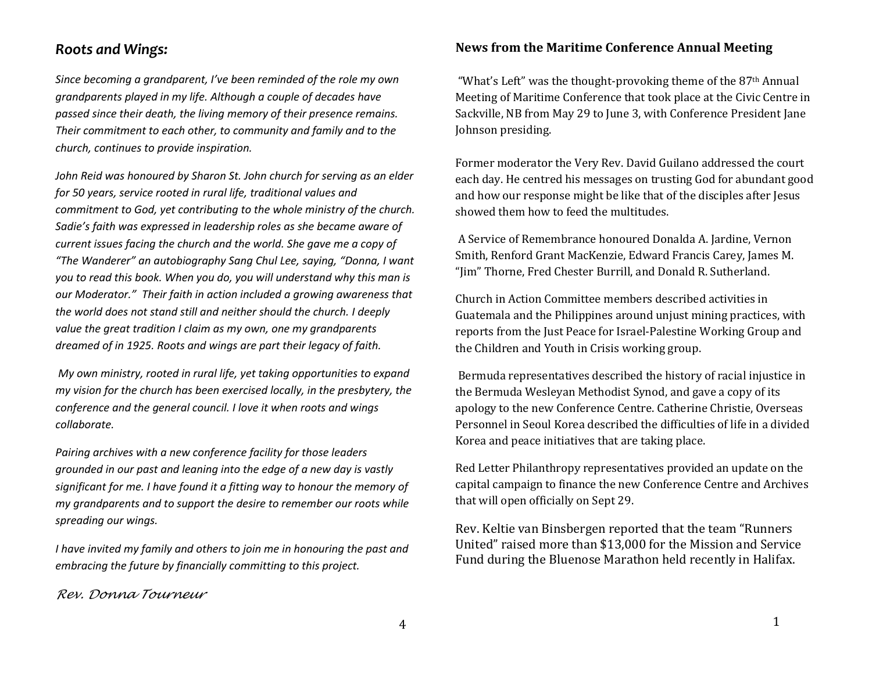## *Roots and Wings:*

*Since becoming a grandparent, I've been reminded of the role my own grandparents played in my life. Although a couple of decades have passed since their death, the living memory of their presence remains. Their commitment to each other, to community and family and to the church, continues to provide inspiration.* 

*John Reid was honoured by Sharon St. John church for serving as an elder for 50 years, service rooted in rural life, traditional values and commitment to God, yet contributing to the whole ministry of the church. Sadie's faith was expressed in leadership roles as she became aware of current issues facing the church and the world. She gave me a copy of "The Wanderer" an autobiography Sang Chul Lee, saying, "Donna, I want you to read this book. When you do, you will understand why this man is our Moderator." Their faith in action included a growing awareness that the world does not stand still and neither should the church. I deeply value the great tradition I claim as my own, one my grandparents dreamed of in 1925. Roots and wings are part their legacy of faith.*

*My own ministry, rooted in rural life, yet taking opportunities to expand my vision for the church has been exercised locally, in the presbytery, the conference and the general council. I love it when roots and wings collaborate.* 

*Pairing archives with a new conference facility for those leaders grounded in our past and leaning into the edge of a new day is vastly significant for me. I have found it a fitting way to honour the memory of my grandparents and to support the desire to remember our roots while spreading our wings.* 

*I have invited my family and others to join me in honouring the past and embracing the future by financially committing to this project.*

## *Rev. Donna Tourneur*

## **News from the Maritime Conference Annual Meeting**

"What's Left" was the thought-provoking theme of the 87th Annual Meeting of Maritime Conference that took place at the Civic Centre in Sackville, NB from May 29 to June 3, with Conference President Jane Johnson presiding.

Former moderator the Very Rev. David Guilano addressed the court each day. He centred his messages on trusting God for abundant good and how our response might be like that of the disciples after Jesus showed them how to feed the multitudes.

A Service of Remembrance honoured Donalda A. Jardine, Vernon Smith, Renford Grant MacKenzie, Edward Francis Carey, James M. "Jim" Thorne, Fred Chester Burrill, and Donald R. Sutherland.

Church in Action Committee members described activities in Guatemala and the Philippines around unjust mining practices, with reports from the Just Peace for Israel-Palestine Working Group and the Children and Youth in Crisis working group.

Bermuda representatives described the history of racial injustice in the Bermuda Wesleyan Methodist Synod, and gave a copy of its apology to the new Conference Centre. Catherine Christie, Overseas Personnel in Seoul Korea described the difficulties of life in a divided Korea and peace initiatives that are taking place.

Red Letter Philanthropy representatives provided an update on the capital campaign to finance the new Conference Centre and Archives that will open officially on Sept 29.

Rev. Keltie van Binsbergen reported that the team "Runners United" raised more than \$13,000 for the Mission and Service Fund during the Bluenose Marathon held recently in Halifax.